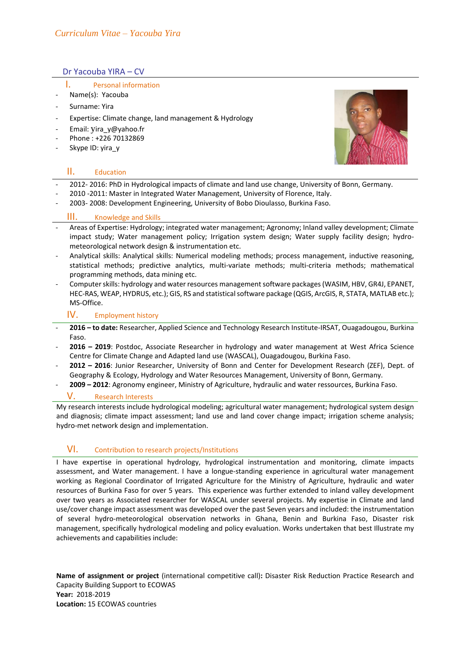## Dr Yacouba YIRA – CV

## I. Personal information

- Name(s): Yacouba
- Surname: Yira
- Expertise: Climate change, land management & Hydrology
- Email: y[ira\\_y@yahoo.fr](mailto:yira_y@yahoo.fr)
- Phone: +226 70132869
- Skype ID: yira\_y

## II. Education



- 2012- 2016: PhD in Hydrological impacts of climate and land use change, University of Bonn, Germany.
- 2010 -2011: Master in Integrated Water Management, University of Florence, Italy.
- 2003- 2008: Development Engineering, University of Bobo Dioulasso, Burkina Faso.

## III. Knowledge and Skills

- Areas of Expertise: Hydrology; integrated water management; Agronomy; Inland valley development; Climate impact study; Water management policy; Irrigation system design; Water supply facility design; hydrometeorological network design & instrumentation etc.
- Analytical skills: Analytical skills: Numerical modeling methods; process management, inductive reasoning, statistical methods; predictive analytics, multi-variate methods; multi-criteria methods; mathematical programming methods, data mining etc.
- Computer skills: hydrology and water resources management software packages (WASIM, HBV, GR4J, EPANET, HEC-RAS, WEAP, HYDRUS, etc.); GIS, RS and statistical software package (QGIS, ArcGIS, R, STATA, MATLAB etc.); MS-Office.

## IV. Employment history

- **2016 – to date:** Researcher, Applied Science and Technology Research Institute-IRSAT, Ouagadougou, Burkina Faso.
- **2016 – 2019**: Postdoc, Associate Researcher in hydrology and water management at West Africa Science Centre for Climate Change and Adapted land use (WASCAL), Ouagadougou, Burkina Faso.
- **2012 – 2016**: Junior Researcher, University of Bonn and Center for Development Research (ZEF), Dept. of Geography & Ecology, Hydrology and Water Resources Management, University of Bonn, Germany.
- **2009 – 2012**: Agronomy engineer, Ministry of Agriculture, hydraulic and water ressources, Burkina Faso.

## Research Interests

My research interests include hydrological modeling; agricultural water management; hydrological system design and diagnosis; climate impact assessment; land use and land cover change impact; irrigation scheme analysis; hydro-met network design and implementation.

# VI. Contribution to research projects/Institutions

I have expertise in operational hydrology, hydrological instrumentation and monitoring, climate impacts assessment, and Water management. I have a longue-standing experience in agricultural water management working as Regional Coordinator of Irrigated Agriculture for the Ministry of Agriculture, hydraulic and water resources of Burkina Faso for over 5 years. This experience was further extended to inland valley development over two years as Associated researcher for WASCAL under several projects. My expertise in Climate and land use/cover change impact assessment was developed over the past Seven years and included: the instrumentation of several hydro-meteorological observation networks in Ghana, Benin and Burkina Faso, Disaster risk management, specifically hydrological modeling and policy evaluation. Works undertaken that best Illustrate my achievements and capabilities include:

**Name of assignment or project** (international competitive call)**:** Disaster Risk Reduction Practice Research and Capacity Building Support to ECOWAS **Year:** 2018-2019 **Location:** 15 ECOWAS countries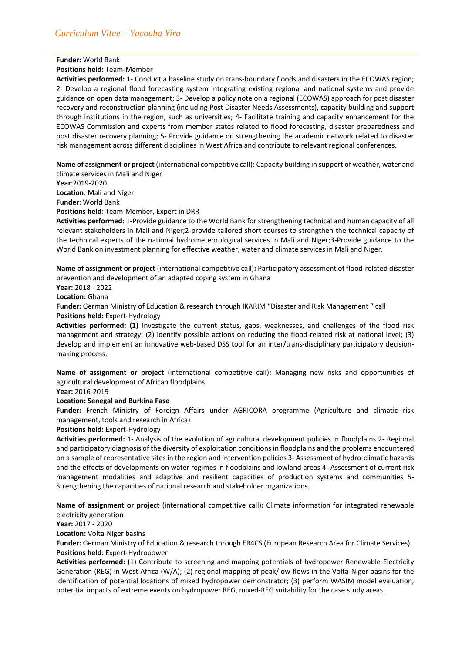### **Funder:** World Bank

#### **Positions held:** Team-Member

**Activities performed:** 1- Conduct a baseline study on trans-boundary floods and disasters in the ECOWAS region; 2- Develop a regional flood forecasting system integrating existing regional and national systems and provide guidance on open data management; 3- Develop a policy note on a regional (ECOWAS) approach for post disaster recovery and reconstruction planning (including Post Disaster Needs Assessments), capacity building and support through institutions in the region, such as universities; 4- Facilitate training and capacity enhancement for the ECOWAS Commission and experts from member states related to flood forecasting, disaster preparedness and post disaster recovery planning; 5- Provide guidance on strengthening the academic network related to disaster risk management across different disciplines in West Africa and contribute to relevant regional conferences.

**Name of assignment or project** (international competitive call): Capacity building in support of weather, water and climate services in Mali and Niger

**Year**:2019-2020

**Location**: Mali and Niger

**Funder**: World Bank

**Positions held**: Team-Member, Expert in DRR

**Activities performed**: 1-Provide guidance to the World Bank for strengthening technical and human capacity of all relevant stakeholders in Mali and Niger;2-provide tailored short courses to strengthen the technical capacity of the technical experts of the national hydrometeorological services in Mali and Niger;3-Provide guidance to the World Bank on investment planning for effective weather, water and climate services in Mali and Niger.

**Name of assignment or project** (international competitive call)**:** Participatory assessment of flood-related disaster prevention and development of an adapted coping system in Ghana

**Year:** 2018 - 2022

**Location:** Ghana

**Funder:** German Ministry of Education & research through IKARIM "Disaster and Risk Management " call **Positions held:** Expert-Hydrology

**Activities performed: (1)** Investigate the current status, gaps, weaknesses, and challenges of the flood risk management and strategy; (2) identify possible actions on reducing the flood-related risk at national level; (3) develop and implement an innovative web-based DSS tool for an inter/trans-disciplinary participatory decisionmaking process.

**Name of assignment or project** (international competitive call)**:** Managing new risks and opportunities of agricultural development of African floodplains

**Year:** 2016-2019

### **Location: Senegal and Burkina Faso**

**Funder:** French Ministry of Foreign Affairs under AGRICORA programme (Agriculture and climatic risk management, tools and research in Africa)

**Positions held:** Expert-Hydrology

**Activities performed:** 1- Analysis of the evolution of agricultural development policies in floodplains 2- Regional and participatory diagnosis of the diversity of exploitation conditions in floodplains and the problems encountered on a sample of representative sites in the region and intervention policies 3- Assessment of hydro-climatic hazards and the effects of developments on water regimes in floodplains and lowland areas 4- Assessment of current risk management modalities and adaptive and resilient capacities of production systems and communities 5- Strengthening the capacities of national research and stakeholder organizations.

**Name of assignment or project** (international competitive call)**:** Climate information for integrated renewable electricity generation

**Year:** 2017 - 2020

**Location:** Volta-Niger basins

**Funder:** German Ministry of Education & research through ER4CS (European Research Area for Climate Services) **Positions held:** Expert-Hydropower

**Activities performed:** (1) Contribute to screening and mapping potentials of hydropower Renewable Electricity Generation (REG) in West Africa (W/A); (2) regional mapping of peak/low flows in the Volta-Niger basins for the identification of potential locations of mixed hydropower demonstrator; (3) perform WASIM model evaluation, potential impacts of extreme events on hydropower REG, mixed-REG suitability for the case study areas.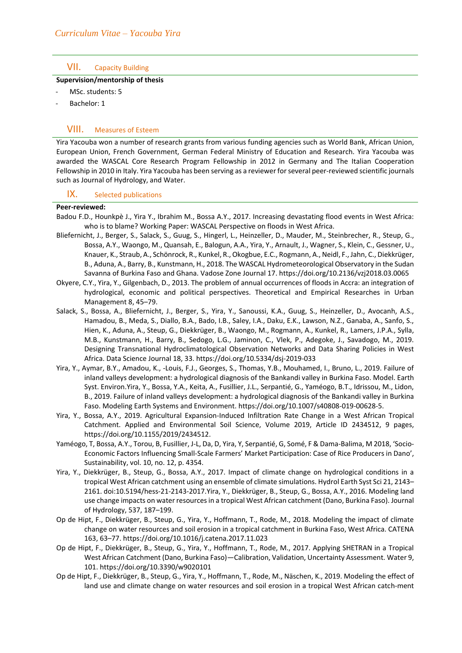## VII. Capacity Building

### **Supervision/mentorship of thesis**

- MSc. students: 5
- Bachelor: 1

# VIII. Measures of Esteem

Yira Yacouba won a number of research grants from various funding agencies such as World Bank, African Union, European Union, French Government, German Federal Ministry of Education and Research. Yira Yacouba was awarded the WASCAL Core Research Program Fellowship in 2012 in Germany and The Italian Cooperation Fellowship in 2010 in Italy. Yira Yacouba has been serving as a reviewer for several peer-reviewed scientific journals such as Journal of Hydrology, and Water.

## IX. Selected publications

#### **Peer-reviewed:**

- Badou F.D., Hounkpè J., Yira Y., Ibrahim M., Bossa A.Y., 2017. Increasing devastating flood events in West Africa: who is to blame? Working Paper: WASCAL Perspective on floods in West Africa.
- Bliefernicht, J., Berger, S., Salack, S., Guug, S., Hingerl, L., Heinzeller, D., Mauder, M., Steinbrecher, R., Steup, G., Bossa, A.Y., Waongo, M., Quansah, E., Balogun, A.A., Yira, Y., Arnault, J., Wagner, S., Klein, C., Gessner, U., Knauer, K., Straub, A., Schönrock, R., Kunkel, R., Okogbue, E.C., Rogmann, A., Neidl, F., Jahn, C., Diekkrüger, B., Aduna, A., Barry, B., Kunstmann, H., 2018. The WASCAL Hydrometeorological Observatory in the Sudan Savanna of Burkina Faso and Ghana. Vadose Zone Journal 17. https://doi.org/10.2136/vzj2018.03.0065
- Okyere, C.Y., Yira, Y., Gilgenbach, D., 2013. The problem of annual occurrences of floods in Accra: an integration of hydrological, economic and political perspectives. Theoretical and Empirical Researches in Urban Management 8, 45–79.
- Salack, S., Bossa, A., Bliefernicht, J., Berger, S., Yira, Y., Sanoussi, K.A., Guug, S., Heinzeller, D., Avocanh, A.S., Hamadou, B., Meda, S., Diallo, B.A., Bado, I.B., Saley, I.A., Daku, E.K., Lawson, N.Z., Ganaba, A., Sanfo, S., Hien, K., Aduna, A., Steup, G., Diekkrüger, B., Waongo, M., Rogmann, A., Kunkel, R., Lamers, J.P.A., Sylla, M.B., Kunstmann, H., Barry, B., Sedogo, L.G., Jaminon, C., Vlek, P., Adegoke, J., Savadogo, M., 2019. Designing Transnational Hydroclimatological Observation Networks and Data Sharing Policies in West Africa. Data Science Journal 18, 33. https://doi.org/10.5334/dsj-2019-033
- Yira, Y., Aymar, B.Y., Amadou, K., -Louis, F.J., Georges, S., Thomas, Y.B., Mouhamed, I., Bruno, L., 2019. Failure of inland valleys development: a hydrological diagnosis of the Bankandi valley in Burkina Faso. Model. Earth Syst. Environ.Yira, Y., Bossa, Y.A., Keita, A., Fusillier, J.L., Serpantié, G., Yaméogo, B.T., Idrissou, M., Lidon, B., 2019. Failure of inland valleys development: a hydrological diagnosis of the Bankandi valley in Burkina Faso. Modeling Earth Systems and Environment. https://doi.org/10.1007/s40808-019-00628-5.
- Yira, Y., Bossa, A.Y., 2019. Agricultural Expansion-Induced Infiltration Rate Change in a West African Tropical Catchment. Applied and Environmental Soil Science, Volume 2019, Article ID 2434512, 9 pages, https://doi.org/10.1155/2019/2434512.
- Yaméogo, T, Bossa, A.Y., Torou, B, Fusillier, J-L, Da, D, Yira, Y, Serpantié, G, Somé, F & Dama-Balima, M 2018, 'Socio-Economic Factors Influencing Small-Scale Farmers' Market Participation: Case of Rice Producers in Dano', Sustainability, vol. 10, no. 12, p. 4354.
- Yira, Y., Diekkrüger, B., Steup, G., Bossa, A.Y., 2017. Impact of climate change on hydrological conditions in a tropical West African catchment using an ensemble of climate simulations. Hydrol Earth Syst Sci 21, 2143– 2161. doi:10.5194/hess-21-2143-2017.Yira, Y., Diekkrüger, B., Steup, G., Bossa, A.Y., 2016. Modeling land use change impacts on water resources in a tropical West African catchment (Dano, Burkina Faso). Journal of Hydrology, 537, 187–199.
- Op de Hipt, F., Diekkrüger, B., Steup, G., Yira, Y., Hoffmann, T., Rode, M., 2018. Modeling the impact of climate change on water resources and soil erosion in a tropical catchment in Burkina Faso, West Africa. CATENA 163, 63–77. https://doi.org/10.1016/j.catena.2017.11.023
- Op de Hipt, F., Diekkrüger, B., Steup, G., Yira, Y., Hoffmann, T., Rode, M., 2017. Applying SHETRAN in a Tropical West African Catchment (Dano, Burkina Faso)—Calibration, Validation, Uncertainty Assessment. Water 9, 101. https://doi.org/10.3390/w9020101
- Op de Hipt, F., Diekkrüger, B., Steup, G., Yira, Y., Hoffmann, T., Rode, M., Näschen, K., 2019. Modeling the effect of land use and climate change on water resources and soil erosion in a tropical West African catch-ment